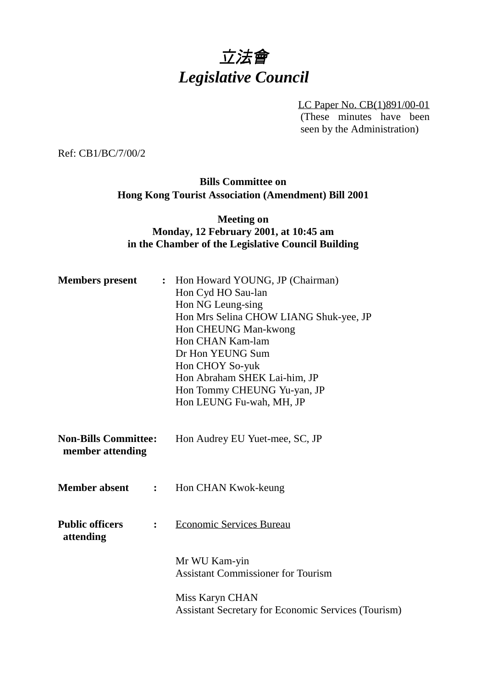# 立法會 *Legislative Council*

LC Paper No. CB(1)891/00-01 (These minutes have been seen by the Administration)

Ref: CB1/BC/7/00/2

## **Bills Committee on Hong Kong Tourist Association (Amendment) Bill 2001**

## **Meeting on Monday, 12 February 2001, at 10:45 am in the Chamber of the Legislative Council Building**

| <b>Members</b> present                          |                | Hon Howard YOUNG, JP (Chairman)<br>$\ddot{\cdot}$<br>Hon Cyd HO Sau-lan<br>Hon NG Leung-sing<br>Hon Mrs Selina CHOW LIANG Shuk-yee, JP<br>Hon CHEUNG Man-kwong<br>Hon CHAN Kam-lam<br>Dr Hon YEUNG Sum<br>Hon CHOY So-yuk<br>Hon Abraham SHEK Lai-him, JP<br>Hon Tommy CHEUNG Yu-yan, JP<br>Hon LEUNG Fu-wah, MH, JP |
|-------------------------------------------------|----------------|----------------------------------------------------------------------------------------------------------------------------------------------------------------------------------------------------------------------------------------------------------------------------------------------------------------------|
| <b>Non-Bills Committee:</b><br>member attending |                | Hon Audrey EU Yuet-mee, SC, JP                                                                                                                                                                                                                                                                                       |
| <b>Member absent</b>                            |                | : Hon CHAN Kwok-keung                                                                                                                                                                                                                                                                                                |
| <b>Public officers</b><br>attending             | $\ddot{\cdot}$ | <b>Economic Services Bureau</b>                                                                                                                                                                                                                                                                                      |
|                                                 |                | Mr WU Kam-yin<br><b>Assistant Commissioner for Tourism</b>                                                                                                                                                                                                                                                           |
|                                                 |                | Miss Karyn CHAN<br><b>Assistant Secretary for Economic Services (Tourism)</b>                                                                                                                                                                                                                                        |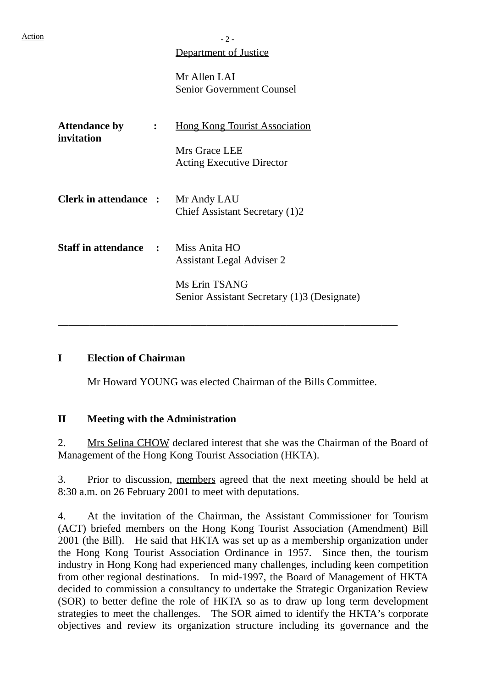## Department of Justice

Mr Allen LAI Senior Government Counsel

| <b>Attendance by</b><br>invitation         | $\ddot{\cdot}$ | <b>Hong Kong Tourist Association</b><br>Mrs Grace LEE<br><b>Acting Executive Director</b>        |
|--------------------------------------------|----------------|--------------------------------------------------------------------------------------------------|
| <b>Clerk in attendance :</b>               |                | Mr Andy LAU<br>Chief Assistant Secretary (1)2                                                    |
| <b>Staff in attendance : Miss Anita HO</b> |                | <b>Assistant Legal Adviser 2</b><br>Ms Erin TSANG<br>Senior Assistant Secretary (1)3 (Designate) |

#### **I Election of Chairman**

Mr Howard YOUNG was elected Chairman of the Bills Committee.

\_\_\_\_\_\_\_\_\_\_\_\_\_\_\_\_\_\_\_\_\_\_\_\_\_\_\_\_\_\_\_\_\_\_\_\_\_\_\_\_\_\_\_\_\_\_\_\_\_\_\_\_\_\_\_\_\_\_\_\_\_\_\_\_

## **II Meeting with the Administration**

2. Mrs Selina CHOW declared interest that she was the Chairman of the Board of Management of the Hong Kong Tourist Association (HKTA).

3. Prior to discussion, members agreed that the next meeting should be held at 8:30 a.m. on 26 February 2001 to meet with deputations.

4. At the invitation of the Chairman, the Assistant Commissioner for Tourism (ACT) briefed members on the Hong Kong Tourist Association (Amendment) Bill 2001 (the Bill). He said that HKTA was set up as a membership organization under the Hong Kong Tourist Association Ordinance in 1957. Since then, the tourism industry in Hong Kong had experienced many challenges, including keen competition from other regional destinations. In mid-1997, the Board of Management of HKTA decided to commission a consultancy to undertake the Strategic Organization Review (SOR) to better define the role of HKTA so as to draw up long term development strategies to meet the challenges. The SOR aimed to identify the HKTA's corporate objectives and review its organization structure including its governance and the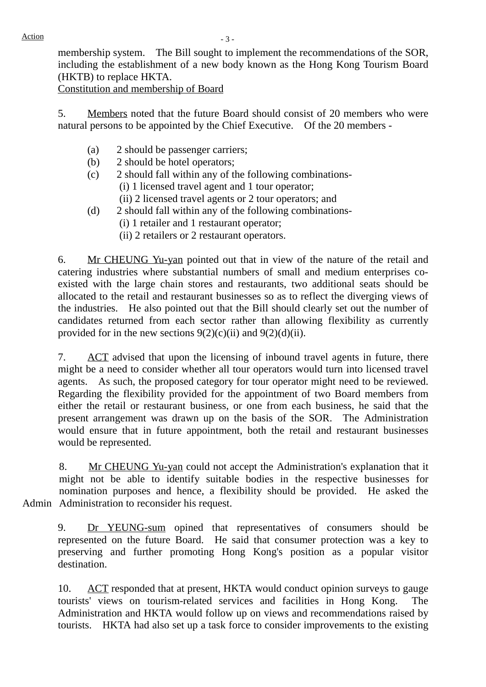membership system. The Bill sought to implement the recommendations of the SOR, including the establishment of a new body known as the Hong Kong Tourism Board (HKTB) to replace HKTA.

Constitution and membership of Board

5. Members noted that the future Board should consist of 20 members who were natural persons to be appointed by the Chief Executive. Of the 20 members -

- (a) 2 should be passenger carriers;
- (b) 2 should be hotel operators;
- (c) 2 should fall within any of the following combinations-
	- (i) 1 licensed travel agent and 1 tour operator;
	- (ii) 2 licensed travel agents or 2 tour operators; and
- (d) 2 should fall within any of the following combinations-
	- (i) 1 retailer and 1 restaurant operator;
	- (ii) 2 retailers or 2 restaurant operators.

6. Mr CHEUNG Yu-yan pointed out that in view of the nature of the retail and catering industries where substantial numbers of small and medium enterprises coexisted with the large chain stores and restaurants, two additional seats should be allocated to the retail and restaurant businesses so as to reflect the diverging views of the industries. He also pointed out that the Bill should clearly set out the number of candidates returned from each sector rather than allowing flexibility as currently provided for in the new sections  $9(2)(c)(ii)$  and  $9(2)(d)(ii)$ .

7. ACT advised that upon the licensing of inbound travel agents in future, there might be a need to consider whether all tour operators would turn into licensed travel agents. As such, the proposed category for tour operator might need to be reviewed. Regarding the flexibility provided for the appointment of two Board members from either the retail or restaurant business, or one from each business, he said that the present arrangement was drawn up on the basis of the SOR. The Administration would ensure that in future appointment, both the retail and restaurant businesses would be represented.

Admin Administration to reconsider his request. 8. Mr CHEUNG Yu-yan could not accept the Administration's explanation that it might not be able to identify suitable bodies in the respective businesses for nomination purposes and hence, a flexibility should be provided. He asked the

9. Dr YEUNG-sum opined that representatives of consumers should be represented on the future Board. He said that consumer protection was a key to preserving and further promoting Hong Kong's position as a popular visitor destination.

10. ACT responded that at present, HKTA would conduct opinion surveys to gauge tourists' views on tourism-related services and facilities in Hong Kong. The Administration and HKTA would follow up on views and recommendations raised by tourists. HKTA had also set up a task force to consider improvements to the existing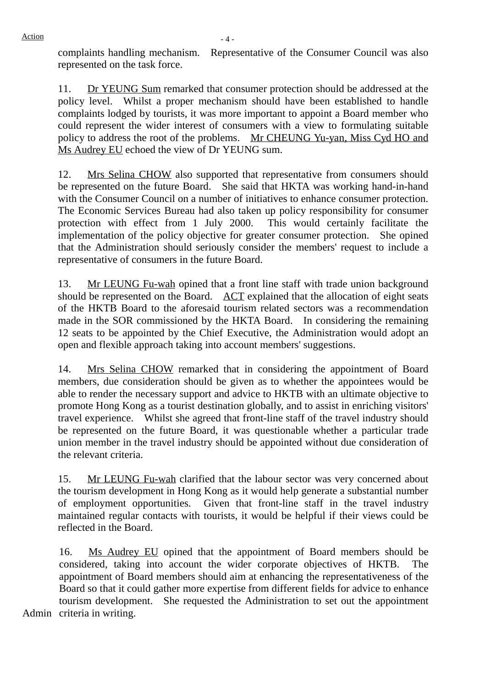complaints handling mechanism. Representative of the Consumer Council was also represented on the task force.

11. Dr YEUNG Sum remarked that consumer protection should be addressed at the policy level. Whilst a proper mechanism should have been established to handle complaints lodged by tourists, it was more important to appoint a Board member who could represent the wider interest of consumers with a view to formulating suitable policy to address the root of the problems. Mr CHEUNG Yu-yan, Miss Cyd HO and Ms Audrey EU echoed the view of Dr YEUNG sum.

12. Mrs Selina CHOW also supported that representative from consumers should be represented on the future Board. She said that HKTA was working hand-in-hand with the Consumer Council on a number of initiatives to enhance consumer protection. The Economic Services Bureau had also taken up policy responsibility for consumer protection with effect from 1 July 2000. This would certainly facilitate the implementation of the policy objective for greater consumer protection. She opined that the Administration should seriously consider the members' request to include a representative of consumers in the future Board.

13. Mr LEUNG Fu-wah opined that a front line staff with trade union background should be represented on the Board.  $\angle$  ACT explained that the allocation of eight seats of the HKTB Board to the aforesaid tourism related sectors was a recommendation made in the SOR commissioned by the HKTA Board. In considering the remaining 12 seats to be appointed by the Chief Executive, the Administration would adopt an open and flexible approach taking into account members' suggestions.

14. Mrs Selina CHOW remarked that in considering the appointment of Board members, due consideration should be given as to whether the appointees would be able to render the necessary support and advice to HKTB with an ultimate objective to promote Hong Kong as a tourist destination globally, and to assist in enriching visitors' travel experience. Whilst she agreed that front-line staff of the travel industry should be represented on the future Board, it was questionable whether a particular trade union member in the travel industry should be appointed without due consideration of the relevant criteria.

15. Mr LEUNG Fu-wah clarified that the labour sector was very concerned about the tourism development in Hong Kong as it would help generate a substantial number of employment opportunities. Given that front-line staff in the travel industry maintained regular contacts with tourists, it would be helpful if their views could be reflected in the Board.

16. Ms Audrey EU opined that the appointment of Board members should be considered, taking into account the wider corporate objectives of HKTB. The appointment of Board members should aim at enhancing the representativeness of the Board so that it could gather more expertise from different fields for advice to enhance tourism development. She requested the Administration to set out the appointment

Admin criteria in writing.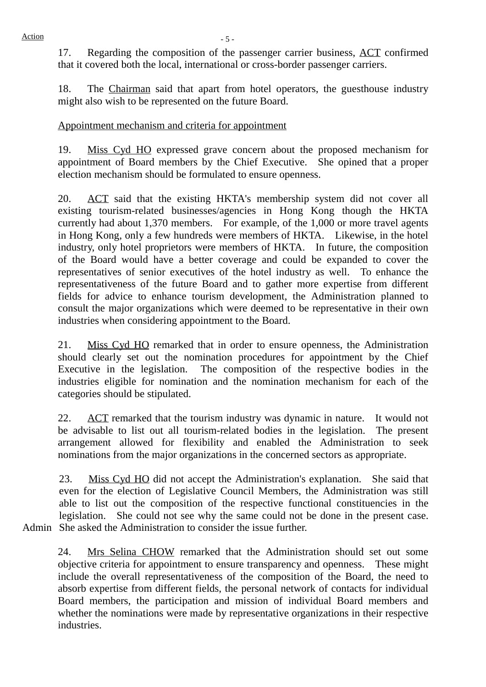17. Regarding the composition of the passenger carrier business, ACT confirmed that it covered both the local, international or cross-border passenger carriers.

18. The Chairman said that apart from hotel operators, the guesthouse industry might also wish to be represented on the future Board.

### Appointment mechanism and criteria for appointment

19. Miss Cyd HO expressed grave concern about the proposed mechanism for appointment of Board members by the Chief Executive. She opined that a proper election mechanism should be formulated to ensure openness.

20. ACT said that the existing HKTA's membership system did not cover all existing tourism-related businesses/agencies in Hong Kong though the HKTA currently had about 1,370 members. For example, of the 1,000 or more travel agents in Hong Kong, only a few hundreds were members of HKTA. Likewise, in the hotel industry, only hotel proprietors were members of HKTA. In future, the composition of the Board would have a better coverage and could be expanded to cover the representatives of senior executives of the hotel industry as well. To enhance the representativeness of the future Board and to gather more expertise from different fields for advice to enhance tourism development, the Administration planned to consult the major organizations which were deemed to be representative in their own industries when considering appointment to the Board.

21. Miss Cyd HO remarked that in order to ensure openness, the Administration should clearly set out the nomination procedures for appointment by the Chief Executive in the legislation. The composition of the respective bodies in the industries eligible for nomination and the nomination mechanism for each of the categories should be stipulated.

22. ACT remarked that the tourism industry was dynamic in nature. It would not be advisable to list out all tourism-related bodies in the legislation. The present arrangement allowed for flexibility and enabled the Administration to seek nominations from the major organizations in the concerned sectors as appropriate.

Admin She asked the Administration to consider the issue further. 23. Miss Cyd HO did not accept the Administration's explanation. She said that even for the election of Legislative Council Members, the Administration was still able to list out the composition of the respective functional constituencies in the legislation. She could not see why the same could not be done in the present case.

24. Mrs Selina CHOW remarked that the Administration should set out some objective criteria for appointment to ensure transparency and openness. These might include the overall representativeness of the composition of the Board, the need to absorb expertise from different fields, the personal network of contacts for individual Board members, the participation and mission of individual Board members and whether the nominations were made by representative organizations in their respective industries.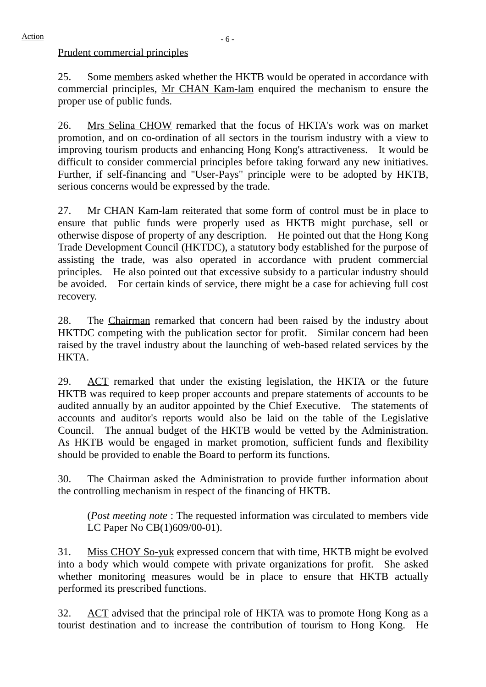Prudent commercial principles

25. Some members asked whether the HKTB would be operated in accordance with commercial principles, Mr CHAN Kam-lam enquired the mechanism to ensure the proper use of public funds.

26. Mrs Selina CHOW remarked that the focus of HKTA's work was on market promotion, and on co-ordination of all sectors in the tourism industry with a view to improving tourism products and enhancing Hong Kong's attractiveness. It would be difficult to consider commercial principles before taking forward any new initiatives. Further, if self-financing and "User-Pays" principle were to be adopted by HKTB, serious concerns would be expressed by the trade.

27. Mr CHAN Kam-lam reiterated that some form of control must be in place to ensure that public funds were properly used as HKTB might purchase, sell or otherwise dispose of property of any description. He pointed out that the Hong Kong Trade Development Council (HKTDC), a statutory body established for the purpose of assisting the trade, was also operated in accordance with prudent commercial principles. He also pointed out that excessive subsidy to a particular industry should be avoided. For certain kinds of service, there might be a case for achieving full cost recovery.

28. The Chairman remarked that concern had been raised by the industry about HKTDC competing with the publication sector for profit. Similar concern had been raised by the travel industry about the launching of web-based related services by the HKTA.

29. ACT remarked that under the existing legislation, the HKTA or the future HKTB was required to keep proper accounts and prepare statements of accounts to be audited annually by an auditor appointed by the Chief Executive. The statements of accounts and auditor's reports would also be laid on the table of the Legislative Council. The annual budget of the HKTB would be vetted by the Administration. As HKTB would be engaged in market promotion, sufficient funds and flexibility should be provided to enable the Board to perform its functions.

30. The Chairman asked the Administration to provide further information about the controlling mechanism in respect of the financing of HKTB.

(*Post meeting note* : The requested information was circulated to members vide LC Paper No CB(1)609/00-01).

31. Miss CHOY So-yuk expressed concern that with time, HKTB might be evolved into a body which would compete with private organizations for profit. She asked whether monitoring measures would be in place to ensure that HKTB actually performed its prescribed functions.

32. ACT advised that the principal role of HKTA was to promote Hong Kong as a tourist destination and to increase the contribution of tourism to Hong Kong. He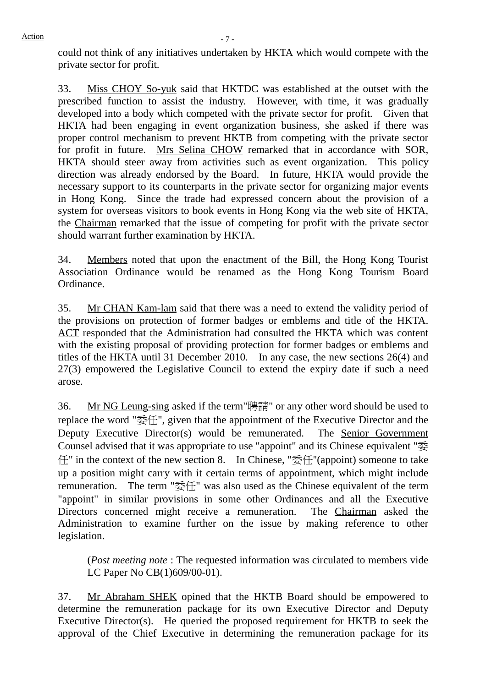could not think of any initiatives undertaken by HKTA which would compete with the private sector for profit.

33. Miss CHOY So-yuk said that HKTDC was established at the outset with the prescribed function to assist the industry. However, with time, it was gradually developed into a body which competed with the private sector for profit. Given that HKTA had been engaging in event organization business, she asked if there was proper control mechanism to prevent HKTB from competing with the private sector for profit in future. Mrs Selina CHOW remarked that in accordance with SOR, HKTA should steer away from activities such as event organization. This policy direction was already endorsed by the Board. In future, HKTA would provide the necessary support to its counterparts in the private sector for organizing major events in Hong Kong. Since the trade had expressed concern about the provision of a system for overseas visitors to book events in Hong Kong via the web site of HKTA, the Chairman remarked that the issue of competing for profit with the private sector should warrant further examination by HKTA.

34. Members noted that upon the enactment of the Bill, the Hong Kong Tourist Association Ordinance would be renamed as the Hong Kong Tourism Board Ordinance.

35. Mr CHAN Kam-lam said that there was a need to extend the validity period of the provisions on protection of former badges or emblems and title of the HKTA. ACT responded that the Administration had consulted the HKTA which was content with the existing proposal of providing protection for former badges or emblems and titles of the HKTA until 31 December 2010. In any case, the new sections 26(4) and 27(3) empowered the Legislative Council to extend the expiry date if such a need arose.

36. Mr NG Leung-sing asked if the term"聘請" or any other word should be used to replace the word "委任", given that the appointment of the Executive Director and the Deputy Executive Director(s) would be remunerated. The Senior Government Counsel advised that it was appropriate to use "appoint" and its Chinese equivalent "委 任" in the context of the new section 8. In Chinese, "委任"(appoint) someone to take up a position might carry with it certain terms of appointment, which might include remuneration. The term "委任" was also used as the Chinese equivalent of the term "appoint" in similar provisions in some other Ordinances and all the Executive Directors concerned might receive a remuneration. The Chairman asked the Administration to examine further on the issue by making reference to other legislation.

(*Post meeting note* : The requested information was circulated to members vide LC Paper No CB(1)609/00-01).

37. Mr Abraham SHEK opined that the HKTB Board should be empowered to determine the remuneration package for its own Executive Director and Deputy Executive Director(s). He queried the proposed requirement for HKTB to seek the approval of the Chief Executive in determining the remuneration package for its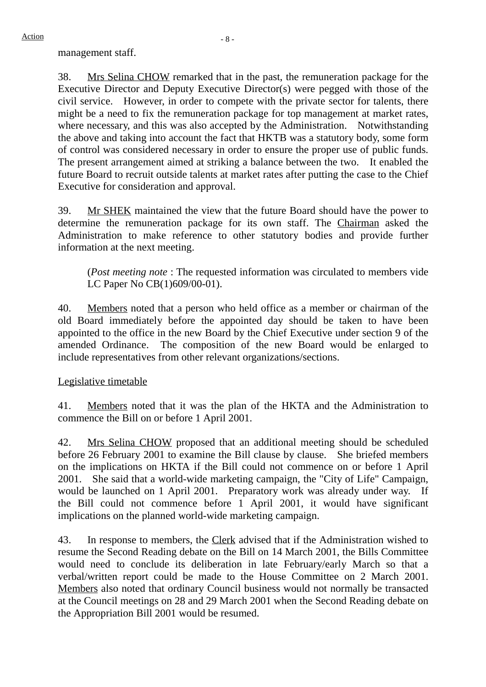management staff.

38. Mrs Selina CHOW remarked that in the past, the remuneration package for the Executive Director and Deputy Executive Director(s) were pegged with those of the civil service. However, in order to compete with the private sector for talents, there might be a need to fix the remuneration package for top management at market rates, where necessary, and this was also accepted by the Administration. Notwithstanding the above and taking into account the fact that HKTB was a statutory body, some form of control was considered necessary in order to ensure the proper use of public funds. The present arrangement aimed at striking a balance between the two. It enabled the future Board to recruit outside talents at market rates after putting the case to the Chief Executive for consideration and approval.

39. Mr SHEK maintained the view that the future Board should have the power to determine the remuneration package for its own staff. The Chairman asked the Administration to make reference to other statutory bodies and provide further information at the next meeting.

(*Post meeting note* : The requested information was circulated to members vide LC Paper No CB(1)609/00-01).

40. Members noted that a person who held office as a member or chairman of the old Board immediately before the appointed day should be taken to have been appointed to the office in the new Board by the Chief Executive under section 9 of the amended Ordinance. The composition of the new Board would be enlarged to include representatives from other relevant organizations/sections.

## Legislative timetable

41. Members noted that it was the plan of the HKTA and the Administration to commence the Bill on or before 1 April 2001.

42. Mrs Selina CHOW proposed that an additional meeting should be scheduled before 26 February 2001 to examine the Bill clause by clause. She briefed members on the implications on HKTA if the Bill could not commence on or before 1 April 2001. She said that a world-wide marketing campaign, the "City of Life" Campaign, would be launched on 1 April 2001. Preparatory work was already under way. If the Bill could not commence before 1 April 2001, it would have significant implications on the planned world-wide marketing campaign.

43. In response to members, the Clerk advised that if the Administration wished to resume the Second Reading debate on the Bill on 14 March 2001, the Bills Committee would need to conclude its deliberation in late February/early March so that a verbal/written report could be made to the House Committee on 2 March 2001. Members also noted that ordinary Council business would not normally be transacted at the Council meetings on 28 and 29 March 2001 when the Second Reading debate on the Appropriation Bill 2001 would be resumed.